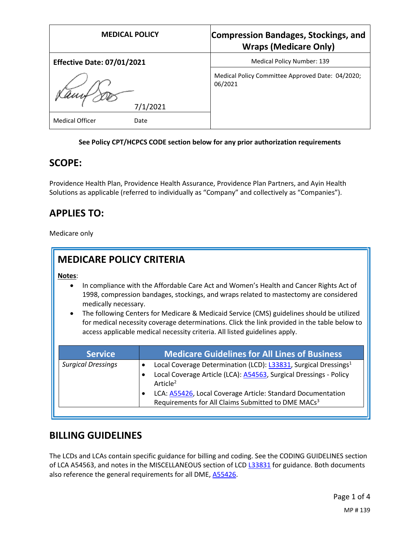| <b>MEDICAL POLICY</b>             | <b>Compression Bandages, Stockings, and</b><br><b>Wraps (Medicare Only)</b> |
|-----------------------------------|-----------------------------------------------------------------------------|
| <b>Effective Date: 07/01/2021</b> | Medical Policy Number: 139                                                  |
| 7/1/2021                          | Medical Policy Committee Approved Date: 04/2020;<br>06/2021                 |
| <b>Medical Officer</b><br>Date    |                                                                             |

#### **See Policy CPT/HCPCS CODE section below for any prior authorization requirements**

#### **SCOPE:**

Providence Health Plan, Providence Health Assurance, Providence Plan Partners, and Ayin Health Solutions as applicable (referred to individually as "Company" and collectively as "Companies").

### **APPLIES TO:**

Medicare only

| <b>MEDICARE POLICY CRITERIA</b>             |                                                                                                                                                                                                                                                                                                                                                                                                                                                            |
|---------------------------------------------|------------------------------------------------------------------------------------------------------------------------------------------------------------------------------------------------------------------------------------------------------------------------------------------------------------------------------------------------------------------------------------------------------------------------------------------------------------|
| Notes:<br>medically necessary.<br>$\bullet$ | In compliance with the Affordable Care Act and Women's Health and Cancer Rights Act of<br>1998, compression bandages, stockings, and wraps related to mastectomy are considered<br>The following Centers for Medicare & Medicaid Service (CMS) guidelines should be utilized<br>for medical necessity coverage determinations. Click the link provided in the table below to<br>access applicable medical necessity criteria. All listed guidelines apply. |
| <b>Service</b>                              | <b>Medicare Guidelines for All Lines of Business</b>                                                                                                                                                                                                                                                                                                                                                                                                       |
| <b>Surgical Dressings</b>                   | Local Coverage Determination (LCD): L33831, Surgical Dressings <sup>1</sup><br>Local Coverage Article (LCA): A54563, Surgical Dressings - Policy<br>Article <sup>2</sup><br>LCA: A55426, Local Coverage Article: Standard Documentation<br>Requirements for All Claims Submitted to DME MACs <sup>3</sup>                                                                                                                                                  |

#### **BILLING GUIDELINES**

The LCDs and LCAs contain specific guidance for billing and coding. See the CODING GUIDELINES section of LCA A54563, and notes in the MISCELLANEOUS section of LCD [L33831](https://www.cms.gov/medicare-coverage-database/details/lcd-details.aspx?LCDId=33831) for guidance. Both documents also reference the general requirements for all DME, [A55426.](https://www.cms.gov/medicare-coverage-database/details/article-details.aspx?articleId=55426)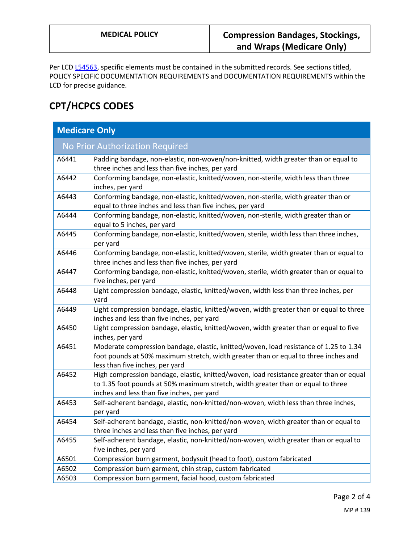Per LCD [L54563,](https://www.cms.gov/medicare-coverage-database/details/article-details.aspx?articleId=54563) specific elements must be contained in the submitted records. See sections titled, POLICY SPECIFIC DOCUMENTATION REQUIREMENTS and DOCUMENTATION REQUIREMENTS within the LCD for precise guidance.

# **CPT/HCPCS CODES**

| <b>Medicare Only</b> |                                                                                                                                                                                                                           |  |
|----------------------|---------------------------------------------------------------------------------------------------------------------------------------------------------------------------------------------------------------------------|--|
|                      | No Prior Authorization Required                                                                                                                                                                                           |  |
| A6441                | Padding bandage, non-elastic, non-woven/non-knitted, width greater than or equal to<br>three inches and less than five inches, per yard                                                                                   |  |
| A6442                | Conforming bandage, non-elastic, knitted/woven, non-sterile, width less than three<br>inches, per yard                                                                                                                    |  |
| A6443                | Conforming bandage, non-elastic, knitted/woven, non-sterile, width greater than or<br>equal to three inches and less than five inches, per yard                                                                           |  |
| A6444                | Conforming bandage, non-elastic, knitted/woven, non-sterile, width greater than or<br>equal to 5 inches, per yard                                                                                                         |  |
| A6445                | Conforming bandage, non-elastic, knitted/woven, sterile, width less than three inches,<br>per yard                                                                                                                        |  |
| A6446                | Conforming bandage, non-elastic, knitted/woven, sterile, width greater than or equal to<br>three inches and less than five inches, per yard                                                                               |  |
| A6447                | Conforming bandage, non-elastic, knitted/woven, sterile, width greater than or equal to<br>five inches, per yard                                                                                                          |  |
| A6448                | Light compression bandage, elastic, knitted/woven, width less than three inches, per<br>yard                                                                                                                              |  |
| A6449                | Light compression bandage, elastic, knitted/woven, width greater than or equal to three<br>inches and less than five inches, per yard                                                                                     |  |
| A6450                | Light compression bandage, elastic, knitted/woven, width greater than or equal to five<br>inches, per yard                                                                                                                |  |
| A6451                | Moderate compression bandage, elastic, knitted/woven, load resistance of 1.25 to 1.34<br>foot pounds at 50% maximum stretch, width greater than or equal to three inches and<br>less than five inches, per yard           |  |
| A6452                | High compression bandage, elastic, knitted/woven, load resistance greater than or equal<br>to 1.35 foot pounds at 50% maximum stretch, width greater than or equal to three<br>inches and less than five inches, per yard |  |
| A6453                | Self-adherent bandage, elastic, non-knitted/non-woven, width less than three inches,<br>per yard                                                                                                                          |  |
| A6454                | Self-adherent bandage, elastic, non-knitted/non-woven, width greater than or equal to<br>three inches and less than five inches, per yard                                                                                 |  |
| A6455                | Self-adherent bandage, elastic, non-knitted/non-woven, width greater than or equal to<br>five inches, per yard                                                                                                            |  |
| A6501                | Compression burn garment, bodysuit (head to foot), custom fabricated                                                                                                                                                      |  |
| A6502                | Compression burn garment, chin strap, custom fabricated                                                                                                                                                                   |  |
| A6503                | Compression burn garment, facial hood, custom fabricated                                                                                                                                                                  |  |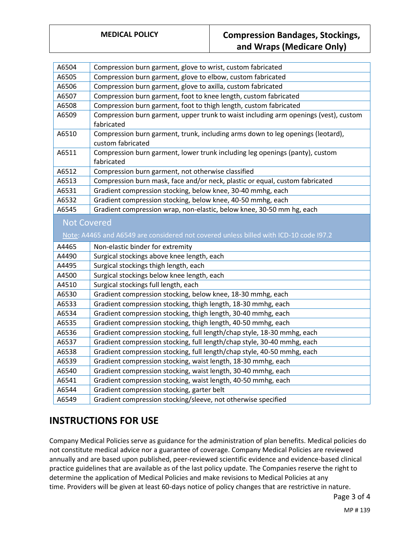### **MEDICAL POLICY Compression Bandages, Stockings, and Wraps (Medicare Only)**

| A6504              | Compression burn garment, glove to wrist, custom fabricated                                                 |
|--------------------|-------------------------------------------------------------------------------------------------------------|
| A6505              | Compression burn garment, glove to elbow, custom fabricated                                                 |
| A6506              | Compression burn garment, glove to axilla, custom fabricated                                                |
| A6507              | Compression burn garment, foot to knee length, custom fabricated                                            |
| A6508              | Compression burn garment, foot to thigh length, custom fabricated                                           |
| A6509              | Compression burn garment, upper trunk to waist including arm openings (vest), custom                        |
|                    | fabricated                                                                                                  |
| A6510              | Compression burn garment, trunk, including arms down to leg openings (leotard),                             |
|                    | custom fabricated                                                                                           |
| A6511              | Compression burn garment, lower trunk including leg openings (panty), custom                                |
|                    | fabricated                                                                                                  |
| A6512              | Compression burn garment, not otherwise classified                                                          |
| A6513              | Compression burn mask, face and/or neck, plastic or equal, custom fabricated                                |
| A6531              | Gradient compression stocking, below knee, 30-40 mmhg, each                                                 |
| A6532              | Gradient compression stocking, below knee, 40-50 mmhg, each                                                 |
| A6545              | Gradient compression wrap, non-elastic, below knee, 30-50 mm hg, each                                       |
| <b>Not Covered</b> |                                                                                                             |
|                    |                                                                                                             |
|                    | Note: A4465 and A6549 are considered not covered unless billed with ICD-10 code I97.2                       |
| A4465              | Non-elastic binder for extremity                                                                            |
| A4490              | Surgical stockings above knee length, each                                                                  |
| A4495              |                                                                                                             |
|                    | Surgical stockings thigh length, each                                                                       |
| A4500              | Surgical stockings below knee length, each                                                                  |
| A4510              | Surgical stockings full length, each                                                                        |
| A6530              | Gradient compression stocking, below knee, 18-30 mmhg, each                                                 |
| A6533              | Gradient compression stocking, thigh length, 18-30 mmhg, each                                               |
| A6534              | Gradient compression stocking, thigh length, 30-40 mmhg, each                                               |
| A6535              | Gradient compression stocking, thigh length, 40-50 mmhg, each                                               |
| A6536              |                                                                                                             |
| A6537              | Gradient compression stocking, full length/chap style, 18-30 mmhg, each                                     |
|                    | Gradient compression stocking, full length/chap style, 30-40 mmhg, each                                     |
| A6538<br>A6539     | Gradient compression stocking, full length/chap style, 40-50 mmhg, each                                     |
|                    | Gradient compression stocking, waist length, 18-30 mmhg, each                                               |
| A6540              | Gradient compression stocking, waist length, 30-40 mmhg, each                                               |
| A6541<br>A6544     | Gradient compression stocking, waist length, 40-50 mmhg, each<br>Gradient compression stocking, garter belt |

#### **INSTRUCTIONS FOR USE**

Company Medical Policies serve as guidance for the administration of plan benefits. Medical policies do not constitute medical advice nor a guarantee of coverage. Company Medical Policies are reviewed annually and are based upon published, peer-reviewed scientific evidence and evidence-based clinical practice guidelines that are available as of the last policy update. The Companies reserve the right to determine the application of Medical Policies and make revisions to Medical Policies at any time. Providers will be given at least 60-days notice of policy changes that are restrictive in nature.